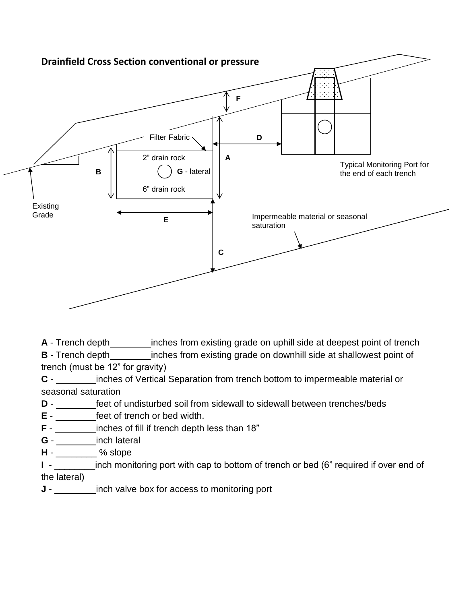

**A** - Trench depth\_\_\_\_\_\_\_\_\_\_\_inches from existing grade on uphill side at deepest point of trench **B** - Trench depth inches from existing grade on downhill side at shallowest point of trench (must be 12" for gravity)

**C** - inches of Vertical Separation from trench bottom to impermeable material or seasonal saturation

**D** - feet of undisturbed soil from sidewall to sidewall between trenches/beds

**E** - feet of trench or bed width.

- **F** inches of fill if trench depth less than 18"
- **G** inch lateral
- **H** \_\_\_\_\_\_\_\_ % slope

**I** - **I.** inch monitoring port with cap to bottom of trench or bed (6" required if over end of the lateral)

**J** - inch valve box for access to monitoring port